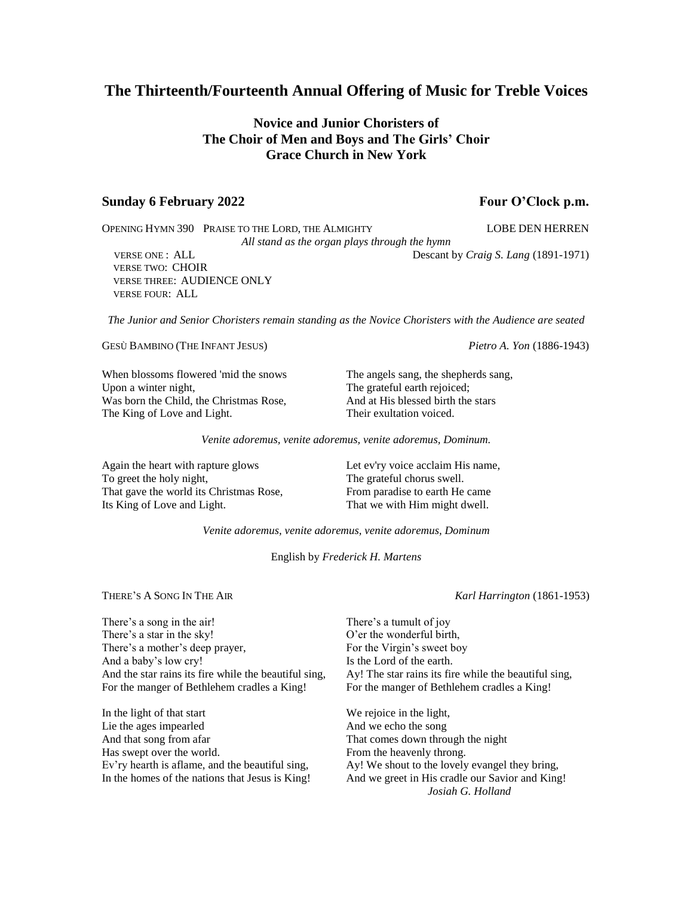# **The Thirteenth/Fourteenth Annual Offering of Music for Treble Voices**

# **Novice and Junior Choristers of The Choir of Men and Boys and The Girls' Choir Grace Church in New York**

## **Sunday 6 February 2022 Four O'Clock p.m.**

OPENING HYMN 390 PRAISE TO THE LORD, THE ALMIGHTY LOBE DEN HERREN *All stand as the organ plays through the hymn* VERSE ONE : ALL Descant by *Craig S. Lang* (1891-1971) VERSE TWO: CHOIR VERSE THREE: AUDIENCE ONLY VERSE FOUR: ALL

*The Junior and Senior Choristers remain standing as the Novice Choristers with the Audience are seated*

GESÙ BAMBINO (THE INFANT JESUS) *Pietro A. Yon* (1886-1943)

Upon a winter night, The grateful earth rejoiced; Was born the Child, the Christmas Rose, And at His blessed birth the stars The King of Love and Light. Their exultation voiced.

When blossoms flowered 'mid the snows The angels sang, the shepherds sang,

*Venite adoremus, venite adoremus, venite adoremus, Dominum.*

| Again the heart with rapture glows      | Let ev'ry voice acclaim His name, |
|-----------------------------------------|-----------------------------------|
| To greet the holy night,                | The grateful chorus swell.        |
| That gave the world its Christmas Rose, | From paradise to earth He came    |
| Its King of Love and Light.             | That we with Him might dwell.     |

*Venite adoremus, venite adoremus, venite adoremus, Dominum*

English by *Frederick H. Martens*

There's a song in the air! There's a tumult of joy There's a star in the sky!  $O'$ er the wonderful birth, There's a mother's deep prayer, For the Virgin's sweet boy And a baby's low cry! Is the Lord of the earth. For the manger of Bethlehem cradles a King! For the manger of Bethlehem cradles a King!

In the light of that start We rejoice in the light, Lie the ages impearled And we echo the song And that song from afar That comes down through the night Has swept over the world. From the heavenly throng.

### THERE'S A SONG IN THE AIR *Karl Harrington* (1861-1953)

And the star rains its fire while the beautiful sing,  $A_y$ ! The star rains its fire while the beautiful sing,

Ev'ry hearth is aflame, and the beautiful sing,  $A_y$ ! We shout to the lovely evangel they bring, In the homes of the nations that Jesus is King! And we greet in His cradle our Savior and King! *Josiah G. Holland*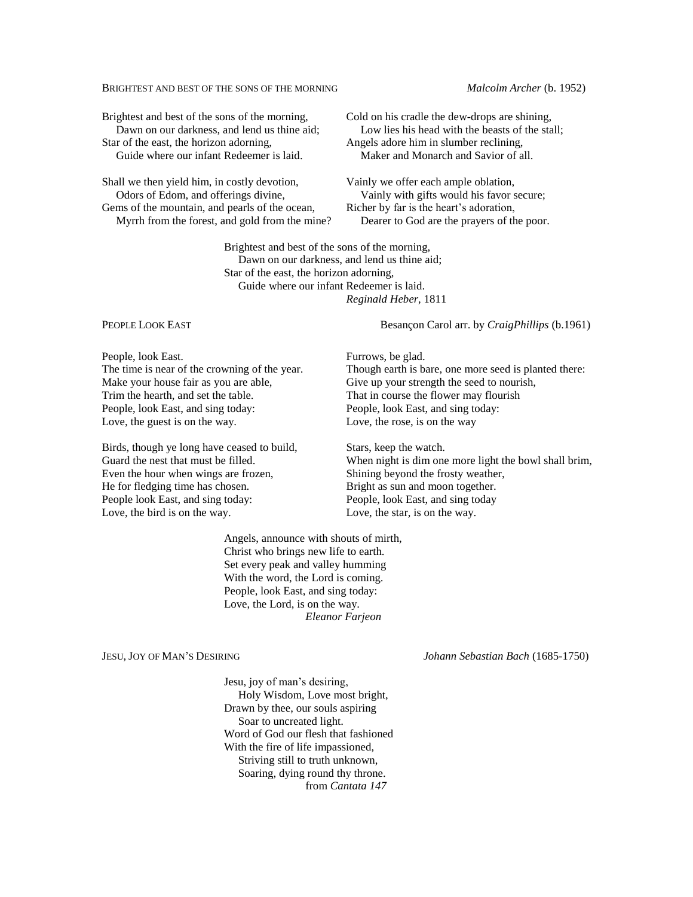#### BRIGHTEST AND BEST OF THE SONS OF THE MORNING *Malcolm Archer* (b. 1952)

Brightest and best of the sons of the morning, Cold on his cradle the dew-drops are shining, Star of the east, the horizon adorning, Angels adore him in slumber reclining, Guide where our infant Redeemer is laid. Maker and Monarch and Savior of all.

Shall we then yield him, in costly devotion, Vainly we offer each ample oblation, Odors of Edom, and offerings divine, Vainly with gifts would his favor secure; Gems of the mountain, and pearls of the ocean, Richer by far is the heart's adoration,

Dawn on our darkness, and lend us thine aid; Low lies his head with the beasts of the stall;

Myrrh from the forest, and gold from the mine? Dearer to God are the prayers of the poor.

Brightest and best of the sons of the morning, Dawn on our darkness, and lend us thine aid; Star of the east, the horizon adorning, Guide where our infant Redeemer is laid. *Reginald Heber,* 1811

People, look East. Furrows, be glad. Make your house fair as you are able, Give up your strength the seed to nourish, Trim the hearth, and set the table. That in course the flower may flourish People, look East, and sing today: People, look East, and sing today: Love, the guest is on the way. Love, the rose, is on the way

Birds, though ye long have ceased to build, Stars, keep the watch. Even the hour when wings are frozen, Shining beyond the frosty weather, He for fledging time has chosen. Bright as sun and moon together. People look East, and sing today: People, look East, and sing today Love, the bird is on the way. Love, the star, is on the way.

PEOPLE LOOK EAST Besançon Carol arr. by *CraigPhillips* (b.1961)

The time is near of the crowning of the year. Though earth is bare, one more seed is planted there:

Guard the nest that must be filled. When night is dim one more light the bowl shall brim,

Angels, announce with shouts of mirth, Christ who brings new life to earth. Set every peak and valley humming With the word, the Lord is coming. People, look East, and sing today: Love, the Lord, is on the way. *Eleanor Farjeon*

Jesu, joy of man's desiring, Holy Wisdom, Love most bright, Drawn by thee, our souls aspiring Soar to uncreated light. Word of God our flesh that fashioned With the fire of life impassioned, Striving still to truth unknown, Soaring, dying round thy throne. from *Cantata 147*

JESU, JOY OF MAN'S DESIRING *Johann Sebastian Bach* (1685-1750)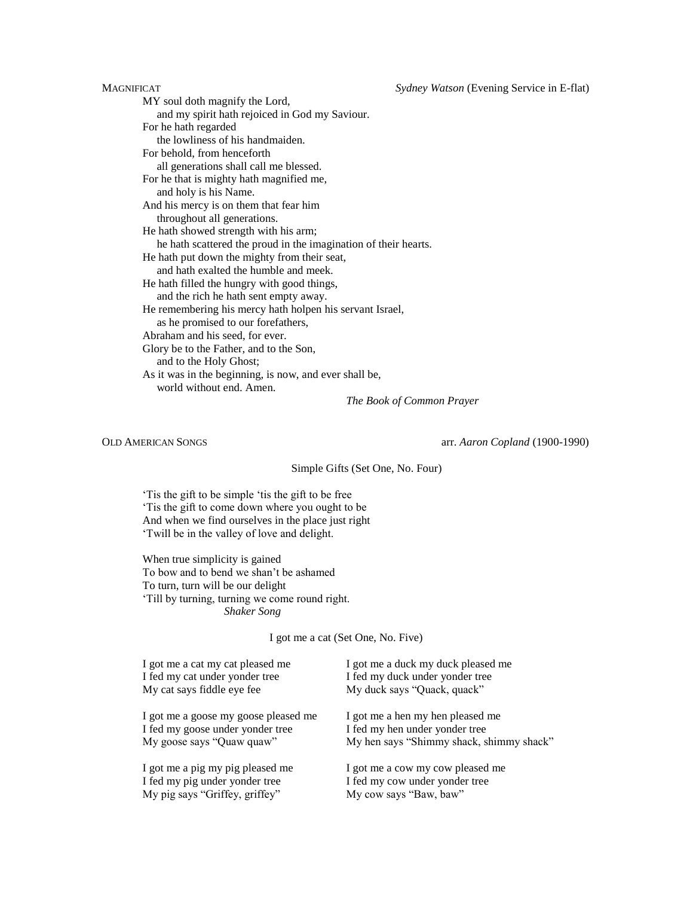MAGNIFICAT *Sydney Watson* (Evening Service in E-flat)

MY soul doth magnify the Lord, and my spirit hath rejoiced in God my Saviour. For he hath regarded the lowliness of his handmaiden. For behold, from henceforth all generations shall call me blessed. For he that is mighty hath magnified me, and holy is his Name. And his mercy is on them that fear him throughout all generations. He hath showed strength with his arm; he hath scattered the proud in the imagination of their hearts. He hath put down the mighty from their seat, and hath exalted the humble and meek. He hath filled the hungry with good things, and the rich he hath sent empty away. He remembering his mercy hath holpen his servant Israel, as he promised to our forefathers, Abraham and his seed, for ever. Glory be to the Father, and to the Son, and to the Holy Ghost; As it was in the beginning, is now, and ever shall be, world without end. Amen. *The Book of Common Prayer*

OLD AMERICAN SONGS arr. *Aaron Copland* (1900-1990)

Simple Gifts (Set One, No. Four)

'Tis the gift to be simple 'tis the gift to be free 'Tis the gift to come down where you ought to be And when we find ourselves in the place just right 'Twill be in the valley of love and delight.

When true simplicity is gained To bow and to bend we shan't be ashamed To turn, turn will be our delight 'Till by turning, turning we come round right. *Shaker Song*

I got me a cat (Set One, No. Five)

| I got me a cat my cat pleased me     | I got me a duck my duck pleased me       |
|--------------------------------------|------------------------------------------|
| I fed my cat under yonder tree       | I fed my duck under yonder tree          |
| My cat says fiddle eye fee           | My duck says "Quack, quack"              |
| I got me a goose my goose pleased me | I got me a hen my hen pleased me         |
| I fed my goose under yonder tree     | I fed my hen under yonder tree           |
| My goose says "Quaw quaw"            | My hen says "Shimmy shack, shimmy shack" |
| I got me a pig my pig pleased me     | I got me a cow my cow pleased me         |
| I fed my pig under yonder tree       | I fed my cow under yonder tree           |
| My pig says "Griffey, griffey"       | My cow says "Baw, baw"                   |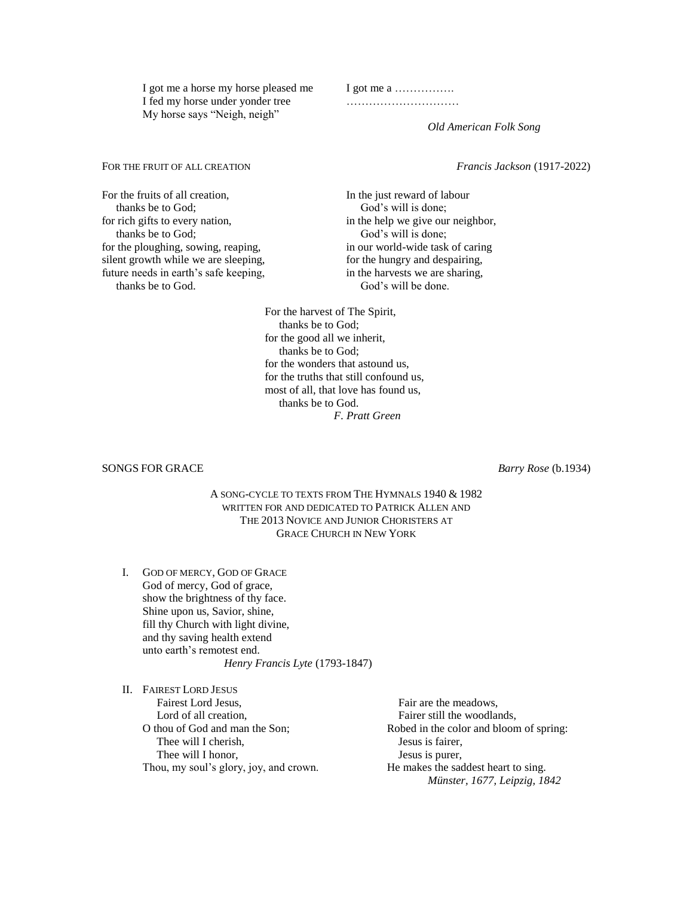I got me a horse my horse pleased me I fed my horse under yonder tree My horse says "Neigh, neigh"

*Old American Folk Song*

#### FOR THE FRUIT OF ALL CREATION *Francis Jackson* (1917-2022)

For the fruits of all creation, In the just reward of labour thanks be to God; God's will is done; for rich gifts to every nation, in the help we give our neighbor, thanks be to God; God's will is done; for the ploughing, sowing, reaping, in our world-wide task of caring silent growth while we are sleeping, for the hungry and despairing, future needs in earth's safe keeping, in the harvests we are sharing, thanks be to God. God's will be done. God's will be done.

> For the harvest of The Spirit, thanks be to God; for the good all we inherit, thanks be to God; for the wonders that astound us, for the truths that still confound us, most of all, that love has found us, thanks be to God.  *F. Pratt Green*

## SONGS FOR GRACE *Barry Rose* (b.1934)

A SONG-CYCLE TO TEXTS FROM THE HYMNALS 1940 & 1982 WRITTEN FOR AND DEDICATED TO PATRICK ALLEN AND THE 2013 NOVICE AND JUNIOR CHORISTERS AT GRACE CHURCH IN NEW YORK

I. GOD OF MERCY, GOD OF GRACE God of mercy, God of grace, show the brightness of thy face. Shine upon us, Savior, shine, fill thy Church with light divine, and thy saving health extend unto earth's remotest end. *Henry Francis Lyte* (1793-1847)

II. FAIREST LORD JESUS Fairest Lord Jesus, Fair are the meadows, Lord of all creation, Fairer still the woodlands, Thee will I cherish, Jesus is fairer, Thee will I honor, Jesus is purer, Thou, my soul's glory, joy, and crown. He makes the saddest heart to sing.

O thou of God and man the Son; Robed in the color and bloom of spring: *Münster, 1677, Leipzig, 1842*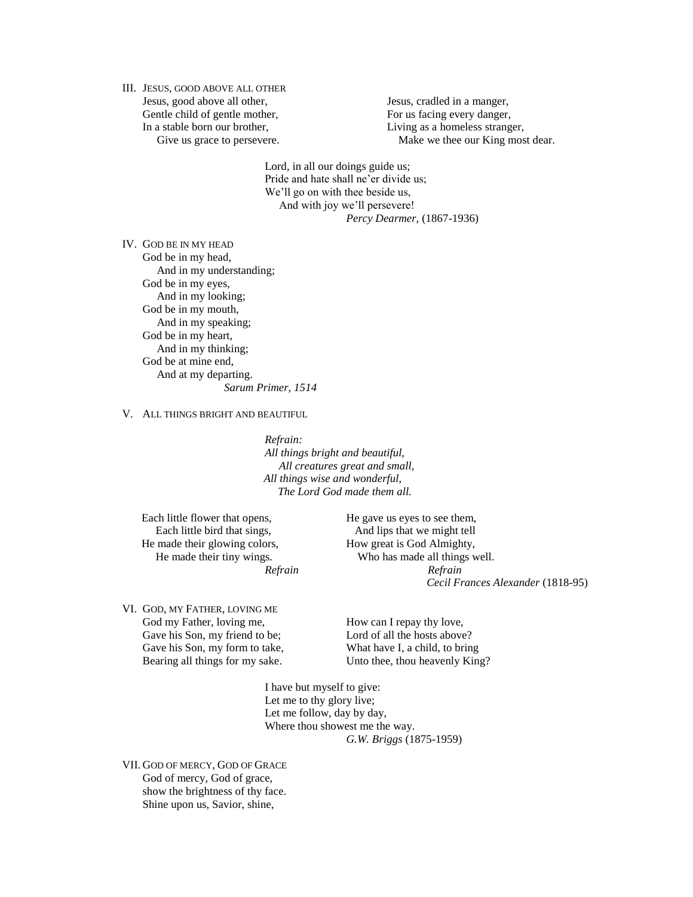III. JESUS, GOOD ABOVE ALL OTHER Jesus, good above all other, Jesus, cradled in a manger, Gentle child of gentle mother, For us facing every danger, In a stable born our brother, Living as a homeless stranger,

Give us grace to persevere.  $\blacksquare$  Make we thee our King most dear.

Lord, in all our doings guide us; Pride and hate shall ne'er divide us; We'll go on with thee beside us, And with joy we'll persevere! *Percy Dearmer,* (1867-1936)

IV. GOD BE IN MY HEAD God be in my head, And in my understanding; God be in my eyes, And in my looking; God be in my mouth, And in my speaking; God be in my heart, And in my thinking; God be at mine end, And at my departing. *Sarum Primer, 1514*

V. ALL THINGS BRIGHT AND BEAUTIFUL

*Refrain: All things bright and beautiful, All creatures great and small, All things wise and wonderful, The Lord God made them all.*

Each little flower that opens, He gave us eyes to see them, Each little bird that sings, And lips that we might tell He made their glowing colors, How great is God Almighty, He made their tiny wings. Who has made all things well.

*Refrain Refrain Cecil Frances Alexander* (1818-95)

VI. GOD, MY FATHER, LOVING ME God my Father, loving me,<br>
Gave his Son, my friend to be;<br>
Lord of all the hosts above? Gave his Son, my friend to be; Gave his Son, my form to take, What have I, a child, to bring

Bearing all things for my sake. Unto thee, thou heavenly King?

I have but myself to give: Let me to thy glory live; Let me follow, day by day, Where thou showest me the way. *G.W. Briggs* (1875-1959)

VII. GOD OF MERCY, GOD OF GRACE God of mercy, God of grace, show the brightness of thy face. Shine upon us, Savior, shine,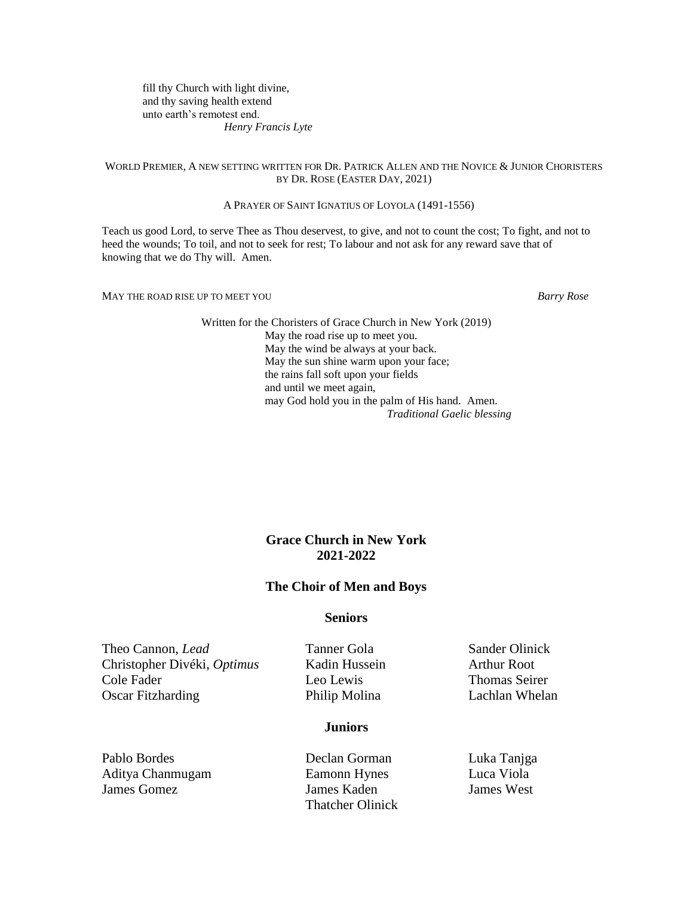fill thy Church with light divine, and thy saving health extend unto earth's remotest end. *Henry Francis Lyte*

### WORLD PREMIER, A NEW SETTING WRITTEN FOR DR. PATRICK ALLEN AND THE NOVICE & JUNIOR CHORISTERS BY DR. ROSE (EASTER DAY, 2021)

### A PRAYER OF SAINT IGNATIUS OF LOYOLA (1491-1556)

Teach us good Lord, to serve Thee as Thou deservest, to give, and not to count the cost; To fight, and not to heed the wounds; To toil, and not to seek for rest; To labour and not ask for any reward save that of knowing that we do Thy will. Amen.

MAY THE ROAD RISE UP TO MEET YOU *Barry Rose*

Written for the Choristers of Grace Church in New York (2019) May the road rise up to meet you. May the wind be always at your back. May the sun shine warm upon your face; the rains fall soft upon your fields and until we meet again, may God hold you in the palm of His hand. Amen. *Traditional Gaelic blessing*

## **Grace Church in New York 2021-2022**

## **The Choir of Men and Boys**

## **Seniors**

Theo Cannon, *Lead* Tanner Gola Sander Olinick Christopher Divéki, *Optimus* Kadin Hussein Arthur Root Cole Fader Leo Lewis Thomas Seirer Oscar Fitzharding Philip Molina Lachlan Whelan

### **Juniors**

Pablo Bordes Declan Gorman Luka Tanjga Aditya Chanmugam Eamonn Hynes Luca Viola James Gomez James Kaden James West

Thatcher Olinick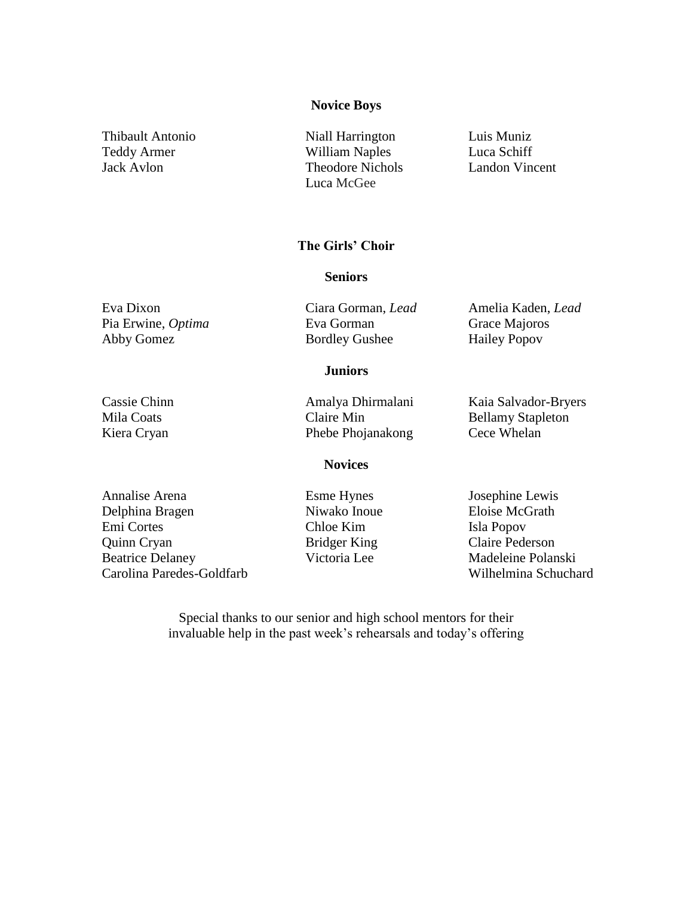## **Novice Boys**

Thibault Antonio Niall Harrington Luis Muniz Teddy Armer William Naples Luca Schiff Jack Avlon Theodore Nichols Landon Vincent Luca McGee

# **The Girls' Choir**

# **Seniors**

Eva Dixon Ciara Gorman, *Lead* Amelia Kaden, *Lead* Pia Erwine, *Optima* Eva Gorman Eva Grace Majoros<br>
Abby Gomez Bordley Gushee Hailey Popov Abby Gomez Bordley Gushee

# **Juniors**

Cassie Chinn Amalya Dhirmalani Kaia Salvador-Bryers Mila Coats Claire Min Bellamy Stapleton Kiera Cryan **Phebe Phojanakong** Cece Whelan

## **Novices**

Annalise Arena Esme Hynes Josephine Lewis Delphina Bragen Niwako Inoue Eloise McGrath Emi Cortes Chloe Kim Isla Popov Quinn Cryan Bridger King Claire Pederson Beatrice Delaney Victoria Lee Madeleine Polanski Carolina Paredes-Goldfarb Wilhelmina Schuchard

Special thanks to our senior and high school mentors for their invaluable help in the past week's rehearsals and today's offering